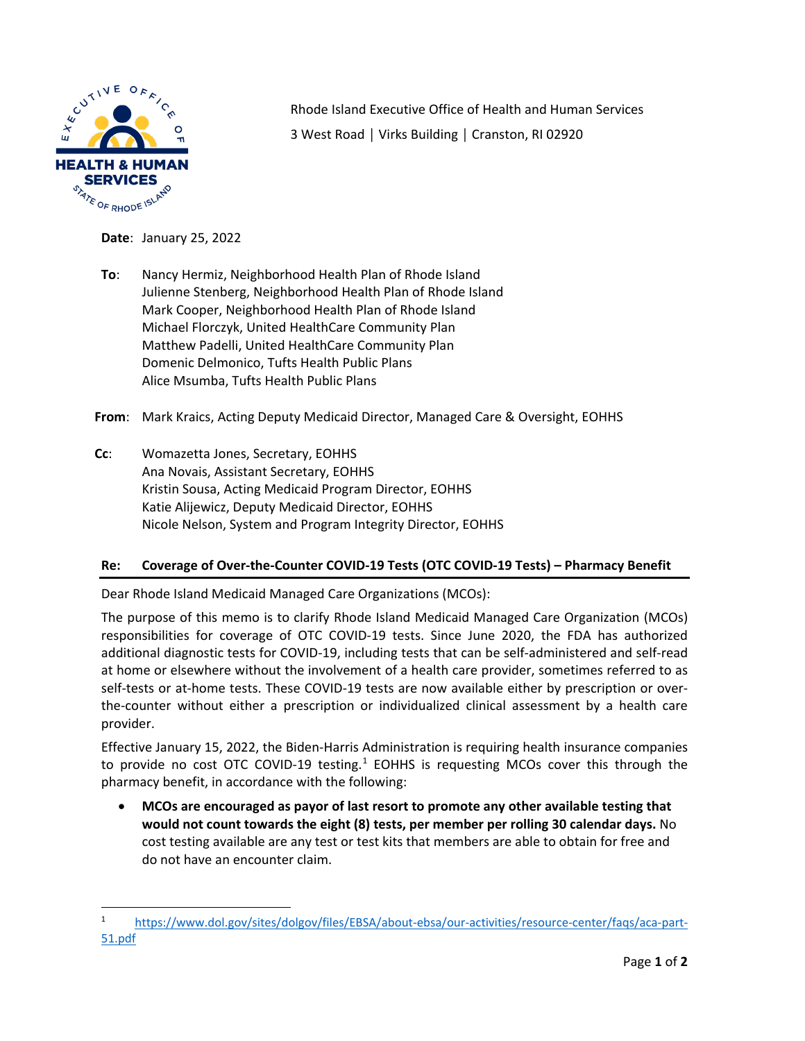

Rhode Island Executive Office of Health and Human Services 3 West Road │ Virks Building │ Cranston, RI 02920

**Date**: January 25, 2022

**To**: Nancy Hermiz, Neighborhood Health Plan of Rhode Island Julienne Stenberg, Neighborhood Health Plan of Rhode Island Mark Cooper, Neighborhood Health Plan of Rhode Island Michael Florczyk, United HealthCare Community Plan Matthew Padelli, United HealthCare Community Plan Domenic Delmonico, Tufts Health Public Plans Alice Msumba, Tufts Health Public Plans

**From**: Mark Kraics, Acting Deputy Medicaid Director, Managed Care & Oversight, EOHHS

**Cc**: Womazetta Jones, Secretary, EOHHS Ana Novais, Assistant Secretary, EOHHS Kristin Sousa, Acting Medicaid Program Director, EOHHS Katie Alijewicz, Deputy Medicaid Director, EOHHS Nicole Nelson, System and Program Integrity Director, EOHHS

## **Re: Coverage of Over-the-Counter COVID-19 Tests (OTC COVID-19 Tests) – Pharmacy Benefit**

Dear Rhode Island Medicaid Managed Care Organizations (MCOs):

The purpose of this memo is to clarify Rhode Island Medicaid Managed Care Organization (MCOs) responsibilities for coverage of OTC COVID-19 tests. Since June 2020, the FDA has authorized additional diagnostic tests for COVID-19, including tests that can be self-administered and self-read at home or elsewhere without the involvement of a health care provider, sometimes referred to as self-tests or at-home tests. These COVID-19 tests are now available either by prescription or overthe-counter without either a prescription or individualized clinical assessment by a health care provider.

Effective January 15, 2022, the Biden-Harris Administration is requiring health insurance companies to provide no cost OTC COVID-[1](#page-0-0)9 testing.<sup>1</sup> EOHHS is requesting MCOs cover this through the pharmacy benefit, in accordance with the following:

• **MCOs are encouraged as payor of last resort to promote any other available testing that would not count towards the eight (8) tests, per member per rolling 30 calendar days.** No cost testing available are any test or test kits that members are able to obtain for free and do not have an encounter claim.

<span id="page-0-0"></span><sup>1</sup> [https://www.dol.gov/sites/dolgov/files/EBSA/about](https://www.dol.gov/sites/dolgov/files/EBSA/about-ebsa/our-activities/resource-center/faqs/aca-part-51.pdf)-ebsa/our-activities/resource-center/faqs/aca-part-[51.pdf](https://www.dol.gov/sites/dolgov/files/EBSA/about-ebsa/our-activities/resource-center/faqs/aca-part-51.pdf)